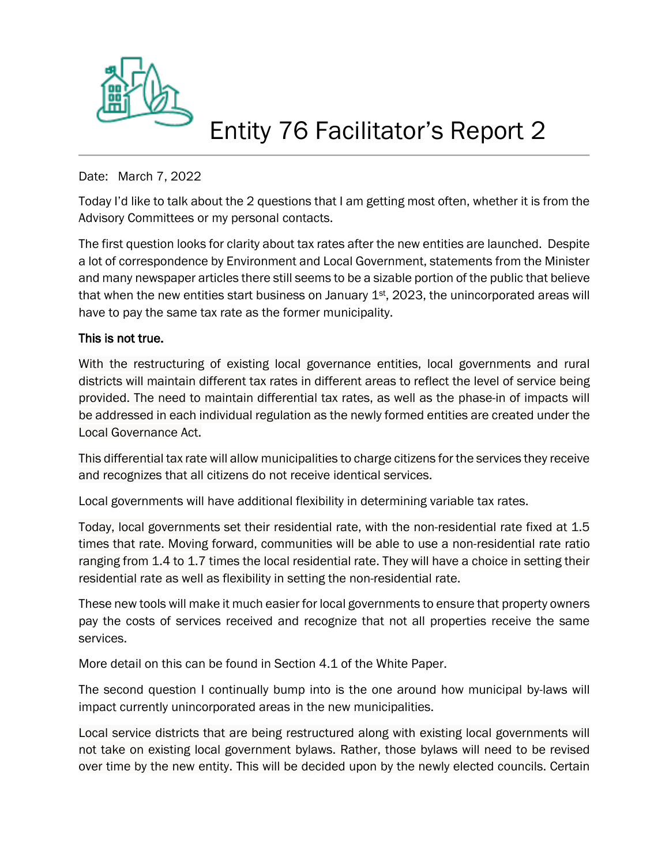

## Entity 76 Facilitator's Report 2

## Date: March 7, 2022

Today I'd like to talk about the 2 questions that I am getting most often, whether it is from the Advisory Committees or my personal contacts.

The first question looks for clarity about tax rates after the new entities are launched. Despite a lot of correspondence by Environment and Local Government, statements from the Minister and many newspaper articles there still seems to be a sizable portion of the public that believe that when the new entities start business on January  $1<sup>st</sup>$ , 2023, the unincorporated areas will have to pay the same tax rate as the former municipality.

## This is not true.

With the restructuring of existing local governance entities, local governments and rural districts will maintain different tax rates in different areas to reflect the level of service being provided. The need to maintain differential tax rates, as well as the phase-in of impacts will be addressed in each individual regulation as the newly formed entities are created under the Local Governance Act.

This differential tax rate will allow municipalities to charge citizens for the services they receive and recognizes that all citizens do not receive identical services.

Local governments will have additional flexibility in determining variable tax rates.

Today, local governments set their residential rate, with the non-residential rate fixed at 1.5 times that rate. Moving forward, communities will be able to use a non-residential rate ratio ranging from 1.4 to 1.7 times the local residential rate. They will have a choice in setting their residential rate as well as flexibility in setting the non-residential rate.

These new tools will make it much easier for local governments to ensure that property owners pay the costs of services received and recognize that not all properties receive the same services.

More detail on this can be found in Section 4.1 of the White Paper.

The second question I continually bump into is the one around how municipal by-laws will impact currently unincorporated areas in the new municipalities.

Local service districts that are being restructured along with existing local governments will not take on existing local government bylaws. Rather, those bylaws will need to be revised over time by the new entity. This will be decided upon by the newly elected councils. Certain